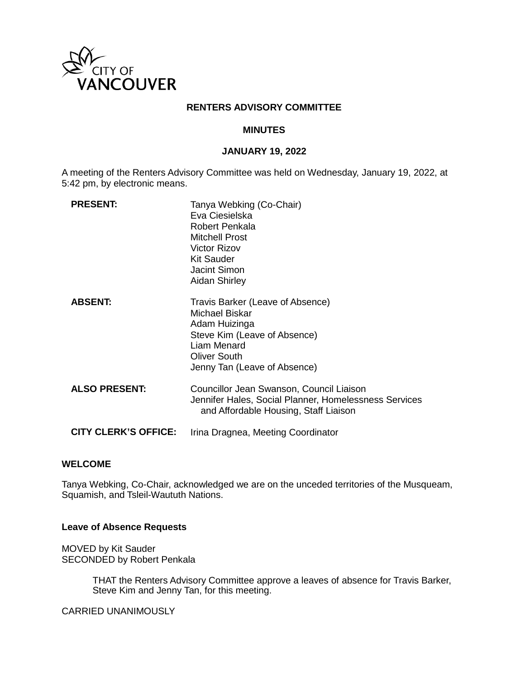

#### **RENTERS ADVISORY COMMITTEE**

#### **MINUTES**

### **JANUARY 19, 2022**

A meeting of the Renters Advisory Committee was held on Wednesday, January 19, 2022, at 5:42 pm, by electronic means.

| <b>PRESENT:</b>             | Tanya Webking (Co-Chair)<br>Eva Ciesielska<br>Robert Penkala<br><b>Mitchell Prost</b><br>Victor Rizov<br>Kit Sauder<br>Jacint Simon<br><b>Aidan Shirley</b>               |
|-----------------------------|---------------------------------------------------------------------------------------------------------------------------------------------------------------------------|
| <b>ABSENT:</b>              | Travis Barker (Leave of Absence)<br>Michael Biskar<br>Adam Huizinga<br>Steve Kim (Leave of Absence)<br>Liam Menard<br><b>Oliver South</b><br>Jenny Tan (Leave of Absence) |
| <b>ALSO PRESENT:</b>        | Councillor Jean Swanson, Council Liaison<br>Jennifer Hales, Social Planner, Homelessness Services<br>and Affordable Housing, Staff Liaison                                |
| <b>CITY CLERK'S OFFICE:</b> | Irina Dragnea, Meeting Coordinator                                                                                                                                        |

#### **WELCOME**

Tanya Webking, Co-Chair, acknowledged we are on the unceded territories of the Musqueam, Squamish, and Tsleil-Waututh Nations.

#### **Leave of Absence Requests**

MOVED by Kit Sauder SECONDED by Robert Penkala

> THAT the Renters Advisory Committee approve a leaves of absence for Travis Barker, Steve Kim and Jenny Tan, for this meeting.

CARRIED UNANIMOUSLY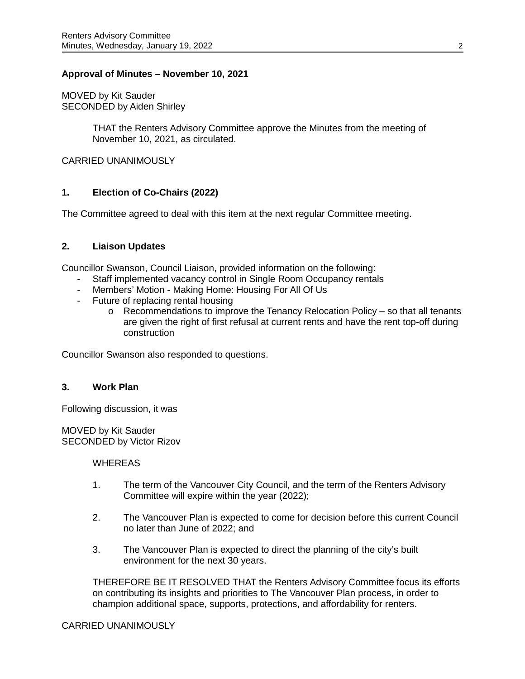## **Approval of Minutes – November 10, 2021**

MOVED by Kit Sauder SECONDED by Aiden Shirley

> THAT the Renters Advisory Committee approve the Minutes from the meeting of November 10, 2021, as circulated.

CARRIED UNANIMOUSLY

## **1. Election of Co-Chairs (2022)**

The Committee agreed to deal with this item at the next regular Committee meeting.

#### **2. Liaison Updates**

Councillor Swanson, Council Liaison, provided information on the following:

- Staff implemented vacancy control in Single Room Occupancy rentals
- Members' Motion Making Home: Housing For All Of Us
- Future of replacing rental housing
	- o Recommendations to improve the Tenancy Relocation Policy so that all tenants are given the right of first refusal at current rents and have the rent top-off during construction

Councillor Swanson also responded to questions.

# **3. Work Plan**

Following discussion, it was

MOVED by Kit Sauder SECONDED by Victor Rizov

#### **WHEREAS**

- 1. The term of the Vancouver City Council, and the term of the Renters Advisory Committee will expire within the year (2022);
- 2. The Vancouver Plan is expected to come for decision before this current Council no later than June of 2022; and
- 3. The Vancouver Plan is expected to direct the planning of the city's built environment for the next 30 years.

THEREFORE BE IT RESOLVED THAT the Renters Advisory Committee focus its efforts on contributing its insights and priorities to The Vancouver Plan process, in order to champion additional space, supports, protections, and affordability for renters.